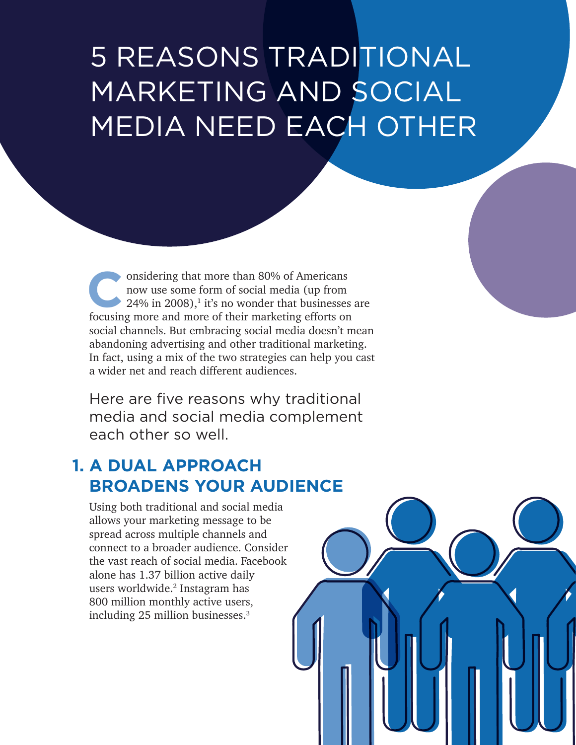# 5 REASONS TRADITIONAL MARKETING AND SOCIAL MEDIA NEED EACH OTHER

onsidering that more than 80% of Americans<br>now use some form of social media (up from<br>24% in 2008),<sup>1</sup> it's no wonder that businesses<br>focusing more and more of their marketing efforts on now use some form of social media (up from  $24\%$  in 2008),<sup>1</sup> it's no wonder that businesses are focusing more and more of their marketing efforts on social channels. But embracing social media doesn't mean abandoning advertising and other traditional marketing. In fact, using a mix of the two strategies can help you cast a wider net and reach different audiences.

Here are five reasons why traditional media and social media complement each other so well

# **1. A DUAL APPROACH BROADENS YOUR AUDIENCE**

Using both traditional and social media allows your marketing message to be spread across multiple channels and connect to a broader audience. Consider the vast reach of social media. Facebook alone has 1.37 billion active daily users worldwide.2 Instagram has 800 million monthly active users, including 25 million businesses.3

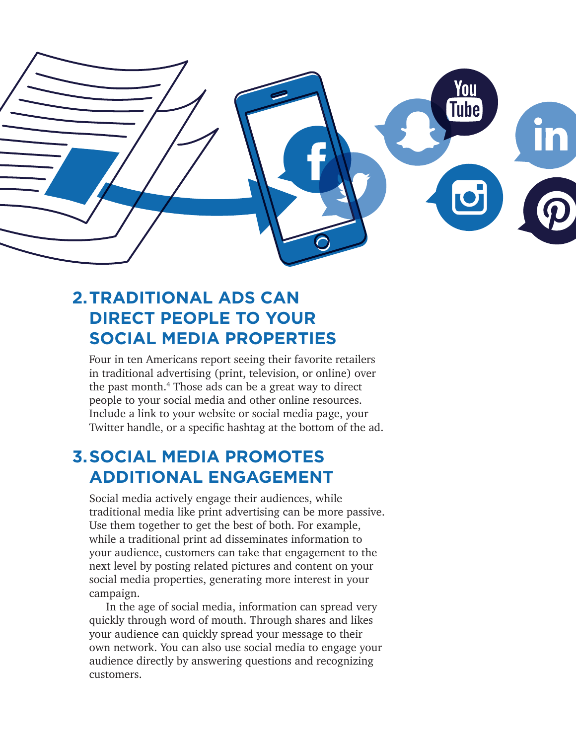

# **2.TRADITIONAL ADS CAN DIRECT PEOPLE TO YOUR SOCIAL MEDIA PROPERTIES**

Four in ten Americans report seeing their favorite retailers in traditional advertising (print, television, or online) over the past month.4 Those ads can be a great way to direct people to your social media and other online resources. Include a link to your website or social media page, your Twitter handle, or a specific hashtag at the bottom of the ad.

### **3.SOCIAL MEDIA PROMOTES ADDITIONAL ENGAGEMENT**

Social media actively engage their audiences, while traditional media like print advertising can be more passive. Use them together to get the best of both. For example, while a traditional print ad disseminates information to your audience, customers can take that engagement to the next level by posting related pictures and content on your social media properties, generating more interest in your campaign.

In the age of social media, information can spread very quickly through word of mouth. Through shares and likes your audience can quickly spread your message to their own network. You can also use social media to engage your audience directly by answering questions and recognizing customers.